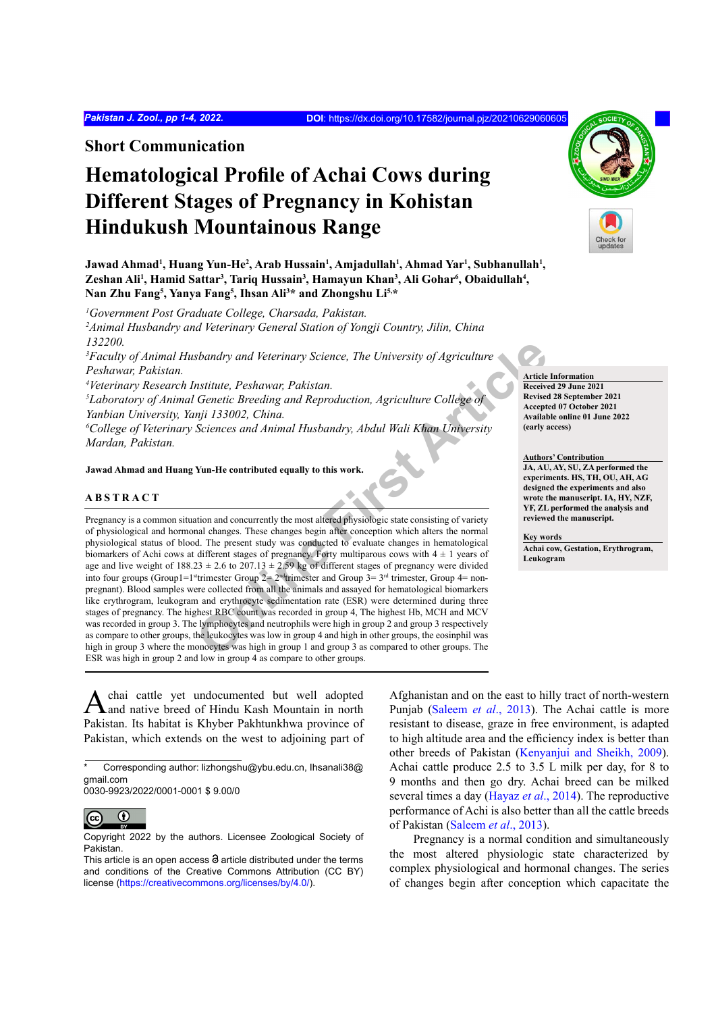**Short Communication**

# **Hematological Profile of Achai Cows during Different Stages of Pregnancy in Kohistan Hindukush Mountainous Range**



 $J$ awad Ahmad<sup>ı</sup>, Huang Yun-He<sup>2</sup>, Arab Hussain<sup>ı</sup>, Amjadullah<sup>ı</sup>, Ahmad Yar<sup>ı</sup>, Subhanullah<sup>ı</sup>, **Zeshan Ali<sup>1</sup> , Hamid Sattar<sup>3</sup> , Tariq Hussain<sup>3</sup> , Hamayun Khan<sup>3</sup> , Ali Gohar<sup>6</sup> , Obaidullah<sup>4</sup> , Nan Zhu Fang<sup>5</sup> , Yanya Fang<sup>5</sup> , Ihsan Ali<sup>3</sup> \* and Zhongshu Li5,\***

*1 Government Post Graduate College, Charsada, Pakistan.*

*2 Animal Husbandry and Veterinary General Station of Yongji Country, Jilin, China 132200.* 

*3 Faculty of Animal Husbandry and Veterinary Science, The University of Agriculture Peshawar, Pakistan.*

*4 Veterinary Research Institute, Peshawar, Pakistan.*

<sup>5</sup>Laboratory of Animal Genetic Breeding and Reproduction, Agriculture College of *Yanbian University, Yanji 133002, China.*

*6 College of Veterinary Sciences and Animal Husbandry, Abdul Wali Khan University Mardan, Pakistan.*

**Jawad Ahmad and Huang Yun-He contributed equally to this work.**

# **ABSTRACT**

Science, The University of Agriculture<br>
Science (See Contribute College of Secretic Breeding and Reproduction, Agriculture College of Receive<br>
mji 133002, China.<br>
Sciences and Animal Husbandry, Abdul Wali Khan University<br> Pregnancy is a common situation and concurrently the most altered physiologic state consisting of variety of physiological and hormonal changes. These changes begin after conception which alters the normal physiological status of blood. The present study was conducted to evaluate changes in hematological biomarkers of Achi cows at different stages of pregnancy. Forty multiparous cows with  $4 \pm 1$  years of age and live weight of  $188.23 \pm 2.6$  to  $207.13 \pm 2.59$  kg of different stages of pregnancy were divided into four groups (Group1=1<sup>st</sup>trimester Group 2=  $2<sup>nd</sup>$ trimester and Group 3=  $3<sup>rd</sup>$  trimester, Group 4= nonpregnant). Blood samples were collected from all the animals and assayed for hematological biomarkers like erythrogram, leukogram and erythrocyte sedimentation rate (ESR) were determined during three stages of pregnancy. The highest RBC count was recorded in group 4, The highest Hb, MCH and MCV was recorded in group 3. The lymphocytes and neutrophils were high in group 2 and group 3 respectively as compare to other groups, the leukocytes was low in group 4 and high in other groups, the eosinphil was high in group 3 where the monocytes was high in group 1 and group 3 as compared to other groups. The ESR was high in group 2 and low in group 4 as compare to other groups.

Achai cattle yet undocumented but well adopted and native breed of Hindu Kash Mountain in north Pakistan. Its habitat is Khyber Pakhtunkhwa province of Pakistan, which extends on the west to adjoining part of

0030-9923/2022/0001-0001 \$ 9.00/0



Copyright 2022 by the authors. Licensee Zoological Society of Pakistan.

Afghanistan and on the east to hilly tract of north-western Punjab [\(Saleem](#page-3-0) *et al*., 2013). The Achai cattle is more resistant to disease, graze in free environment, is adapted to high altitude area and the efficiency index is better than other breeds of Pakistan [\(Kenyanjui and Sheikh, 2009\)](#page-3-1). Achai cattle produce 2.5 to 3.5 L milk per day, for 8 to 9 months and then go dry. Achai breed can be milked several times a day [\(Hayaz](#page-3-2) *et al*., 2014). The reproductive performance of Achi is also better than all the cattle breeds of Pakistan [\(Saleem](#page-3-0) *et al*., 2013).

Pregnancy is a normal condition and simultaneously the most altered physiologic state characterized by complex physiological and hormonal changes. The series of changes begin after conception which capacitate the

**Article Information Received 29 June 2021 Revised 28 September 2021 Accepted 07 October 2021 Available online 01 June 2022 (early access)**

### **Authors' Contribution**

**JA, AU, AY, SU, ZA performed the experiments. HS, TH, OU, AH, AG designed the experiments and also wrote the manuscript. IA, HY, NZF, YF, ZL performed the analysis and reviewed the manuscript.** 

#### **Key words**

**Achai cow, Gestation, Erythrogram, Leukogram**

Corresponding author: lizhongshu@ybu.edu.cn, Ihsanali38@ gmail.com

This article is an open access  $\Theta$  article distributed under the terms and conditions of the Creative Commons Attribution (CC BY) license (<https://creativecommons.org/licenses/by/4.0/>).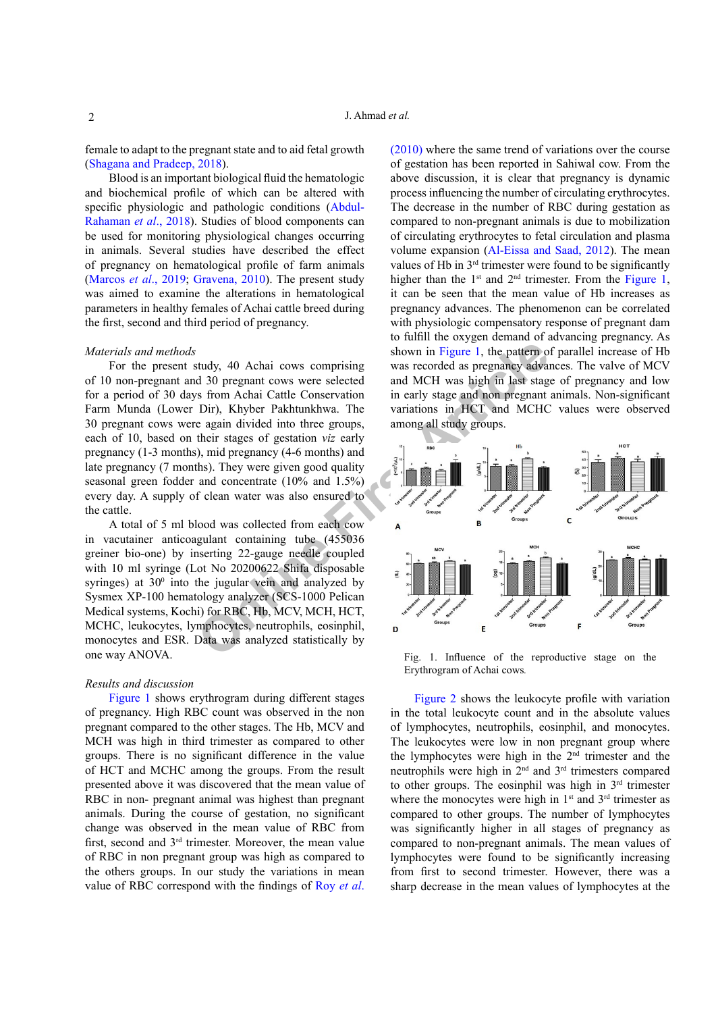female to adapt to the pregnant state and to aid fetal growth [\(Shagana and Pradeep, 2018\)](#page-3-3).

Blood is an important biological fluid the hematologic and biochemical profile of which can be altered with specific physiologic and pathologic conditions ([Abdul-](#page-3-4)[Rahaman](#page-3-4) *et al*., 2018). Studies of blood components can be used for monitoring physiological changes occurring in animals. Several studies have described the effect of pregnancy on hematological profile of farm animals [\(Marcos](#page-3-5) *et al*., 2019; [Gravena, 2010\)](#page-3-6). The present study was aimed to examine the alterations in hematological parameters in healthy females of Achai cattle breed during the first, second and third period of pregnancy.

# *Materials and methods*

For the present study, 40 Achai cows comprising of 10 non-pregnant and 30 pregnant cows were selected for a period of 30 days from Achai Cattle Conservation Farm Munda (Lower Dir), Khyber Pakhtunkhwa. The 30 pregnant cows were again divided into three groups, each of 10, based on their stages of gestation *viz* early pregnancy (1-3 months), mid pregnancy (4-6 months) and late pregnancy (7 months). They were given good quality seasonal green fodder and concentrate (10% and 1.5%) every day. A supply of clean water was also ensured to the cattle.

A total of 5 ml blood was collected from each cow in vacutainer anticoagulant containing tube (455036 greiner bio-one) by inserting 22-gauge needle coupled with 10 ml syringe (Lot No 20200622 Shifa disposable syringes) at  $30^{\circ}$  into the jugular vein and analyzed by Sysmex XP-100 hematology analyzer (SCS-1000 Pelican Medical systems, Kochi) for RBC, Hb, MCV, MCH, HCT, MCHC, leukocytes, lymphocytes, neutrophils, eosinphil, monocytes and ESR. Data was analyzed statistically by one way ANOVA.

## *Results and discussion*

[Figure 1](#page-1-0) shows erythrogram during different stages of pregnancy. High RBC count was observed in the non pregnant compared to the other stages. The Hb, MCV and MCH was high in third trimester as compared to other groups. There is no significant difference in the value of HCT and MCHC among the groups. From the result presented above it was discovered that the mean value of RBC in non- pregnant animal was highest than pregnant animals. During the course of gestation, no significant change was observed in the mean value of RBC from first, second and 3rd trimester. Moreover, the mean value of RBC in non pregnant group was high as compared to the others groups. In our study the variations in mean value of RBC correspond with the findings of [Roy](#page-3-7) *et al*.

[\(2010\)](#page-3-7) where the same trend of variations over the course of gestation has been reported in Sahiwal cow. From the above discussion, it is clear that pregnancy is dynamic process influencing the number of circulating erythrocytes. The decrease in the number of RBC during gestation as compared to non-pregnant animals is due to mobilization of circulating erythrocytes to fetal circulation and plasma volume expansion ([Al-Eissa and Saad, 2012](#page-3-8)). The mean values of Hb in 3<sup>rd</sup> trimester were found to be significantly higher than the  $1<sup>st</sup>$  and  $2<sup>nd</sup>$  trimester. From the [Figure 1,](#page-1-0) it can be seen that the mean value of Hb increases as pregnancy advances. The phenomenon can be correlated with physiologic compensatory response of pregnant dam to fulfill the oxygen demand of advancing pregnancy. As shown in Figure 1, the pattern of parallel increase of Hb was recorded as pregnancy advances. The valve of MCV and MCH was high in last stage of pregnancy and low in early stage and non pregnant animals. Non-significant variations in HCT and MCHC values were observed among all study groups.



<span id="page-1-0"></span>Fig. 1. Influence of the reproductive stage on the Erythrogram of Achai cows*.*

[Figure 2](#page-2-0) shows the leukocyte profile with variation in the total leukocyte count and in the absolute values of lymphocytes, neutrophils, eosinphil, and monocytes. The leukocytes were low in non pregnant group where the lymphocytes were high in the 2nd trimester and the neutrophils were high in 2nd and 3rd trimesters compared to other groups. The eosinphil was high in  $3<sup>rd</sup>$  trimester where the monocytes were high in  $1<sup>st</sup>$  and  $3<sup>rd</sup>$  trimester as compared to other groups. The number of lymphocytes was significantly higher in all stages of pregnancy as compared to non-pregnant animals. The mean values of lymphocytes were found to be significantly increasing from first to second trimester. However, there was a sharp decrease in the mean values of lymphocytes at the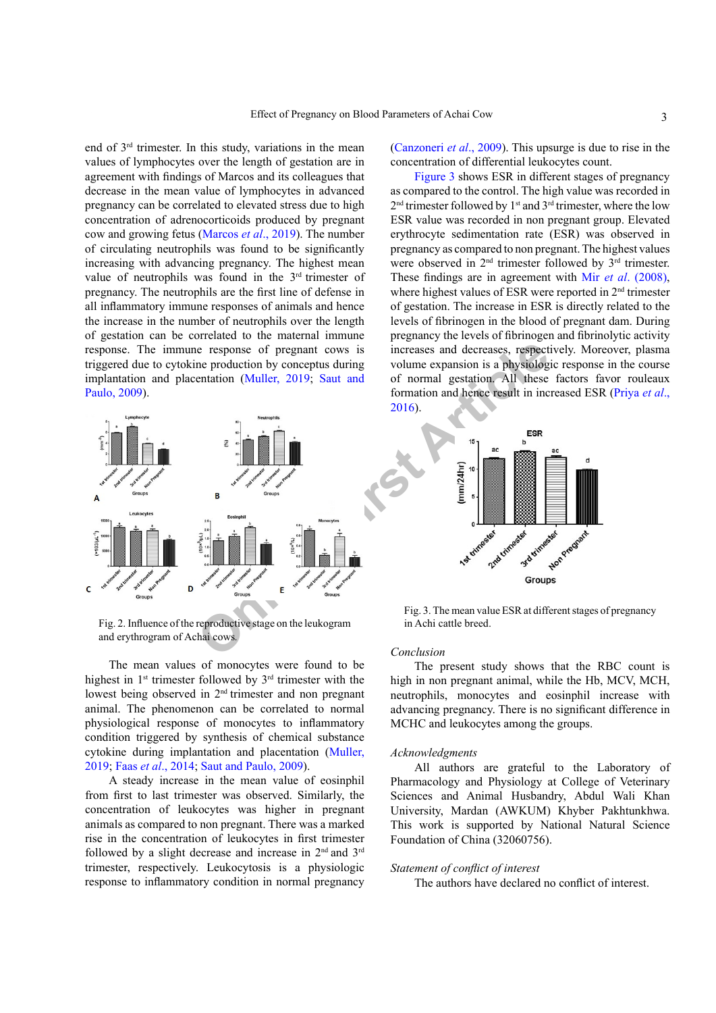end of 3rd trimester. In this study, variations in the mean values of lymphocytes over the length of gestation are in agreement with findings of Marcos and its colleagues that decrease in the mean value of lymphocytes in advanced pregnancy can be correlated to elevated stress due to high concentration of adrenocorticoids produced by pregnant cow and growing fetus [\(Marcos](#page-3-5) *et al*., 2019). The number of circulating neutrophils was found to be significantly increasing with advancing pregnancy. The highest mean value of neutrophils was found in the  $3<sup>rd</sup>$  trimester of pregnancy. The neutrophils are the first line of defense in all inflammatory immune responses of animals and hence the increase in the number of neutrophils over the length of gestation can be correlated to the maternal immune response. The immune response of pregnant cows is triggered due to cytokine production by conceptus during implantation and placentation (Muller, 2019; Saut and [Paulo, 2009](#page-3-9)).



<span id="page-2-0"></span>Fig. 2. Influence of the reproductive stage on the leukogram and erythrogram of Achai cows*.*

The mean values of monocytes were found to be highest in  $1<sup>st</sup>$  trimester followed by  $3<sup>rd</sup>$  trimester with the lowest being observed in 2nd trimester and non pregnant animal. The phenomenon can be correlated to normal physiological response of monocytes to inflammatory condition triggered by synthesis of chemical substance cytokine during implantation and placentation (Muller, 2019; Faas *et al*[., 2014;](#page-3-10) [Saut and Paulo, 2009](#page-3-9)).

A steady increase in the mean value of eosinphil from first to last trimester was observed. Similarly, the concentration of leukocytes was higher in pregnant animals as compared to non pregnant. There was a marked rise in the concentration of leukocytes in first trimester followed by a slight decrease and increase in 2nd and 3rd trimester, respectively. Leukocytosis is a physiologic response to inflammatory condition in normal pregnancy [\(Canzoneri](#page-3-11) *et al*., 2009). This upsurge is due to rise in the concentration of differential leukocytes count.

[Figure 3](#page-2-1) shows ESR in different stages of pregnancy as compared to the control. The high value was recorded in  $2<sup>nd</sup>$  trimester followed by  $1<sup>st</sup>$  and  $3<sup>rd</sup>$  trimester, where the low ESR value was recorded in non pregnant group. Elevated erythrocyte sedimentation rate (ESR) was observed in pregnancy as compared to non pregnant. The highest values were observed in 2<sup>nd</sup> trimester followed by 3<sup>rd</sup> trimester. These findings are in agreement with Mir *et al*[. \(2008](#page-3-12)), where highest values of ESR were reported in 2<sup>nd</sup> trimester of gestation. The increase in ESR is directly related to the levels of fibrinogen in the blood of pregnant dam. During pregnancy the levels of fibrinogen and fibrinolytic activity increases and decreases, respectively. Moreover, plasma volume expansion is a physiologic response in the course of normal gestation. All these factors favor rouleaux formation and hence result in increased ESR ([Priya](#page-3-13) *et al*., 2016).



<span id="page-2-1"></span>Fig. 3. The mean value ESR at different stages of pregnancy in Achi cattle breed.

# *Conclusion*

The present study shows that the RBC count is high in non pregnant animal, while the Hb, MCV, MCH, neutrophils, monocytes and eosinphil increase with advancing pregnancy. There is no significant difference in MCHC and leukocytes among the groups.

### *Acknowledgments*

All authors are grateful to the Laboratory of Pharmacology and Physiology at College of Veterinary Sciences and Animal Husbandry, Abdul Wali Khan University, Mardan (AWKUM) Khyber Pakhtunkhwa. This work is supported by National Natural Science Foundation of China (32060756).

#### *Statement of conflict of interest*

The authors have declared no conflict of interest.